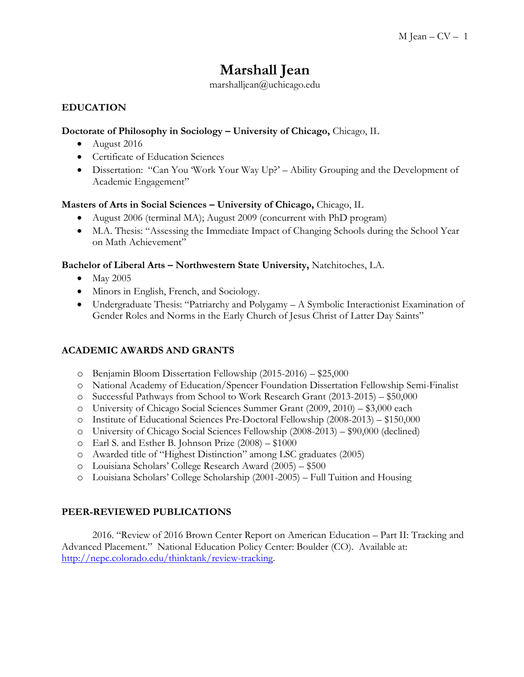# **Marshall Jean**

marshalljean@uchicago.edu

## **EDUCATION**

#### **Doctorate of Philosophy in Sociology – University of Chicago,** Chicago, IL

- August 2016
- Certificate of Education Sciences
- Dissertation: "Can You 'Work Your Way Up?' Ability Grouping and the Development of Academic Engagement"

#### **Masters of Arts in Social Sciences – University of Chicago,** Chicago, IL

- August 2006 (terminal MA); August 2009 (concurrent with PhD program)
- M.A. Thesis: "Assessing the Immediate Impact of Changing Schools during the School Year on Math Achievement"

#### **Bachelor of Liberal Arts – Northwestern State University,** Natchitoches, LA.

- May 2005
- Minors in English, French, and Sociology.
- Undergraduate Thesis: "Patriarchy and Polygamy A Symbolic Interactionist Examination of Gender Roles and Norms in the Early Church of Jesus Christ of Latter Day Saints"

#### **ACADEMIC AWARDS AND GRANTS**

- o Benjamin Bloom Dissertation Fellowship (2015-2016) \$25,000
- o National Academy of Education/Spencer Foundation Dissertation Fellowship Semi-Finalist
- o Successful Pathways from School to Work Research Grant (2013-2015) \$50,000
- o University of Chicago Social Sciences Summer Grant (2009, 2010) \$3,000 each
- o Institute of Educational Sciences Pre-Doctoral Fellowship (2008-2013) \$150,000
- o University of Chicago Social Sciences Fellowship (2008-2013) \$90,000 (declined)
- o Earl S. and Esther B. Johnson Prize (2008) \$1000
- o Awarded title of "Highest Distinction" among LSC graduates (2005)
- o Louisiana Scholars' College Research Award (2005) \$500
- o Louisiana Scholars' College Scholarship (2001-2005) Full Tuition and Housing

#### **PEER-REVIEWED PUBLICATIONS**

2016. "Review of 2016 Brown Center Report on American Education – Part II: Tracking and Advanced Placement." National Education Policy Center: Boulder (CO). Available at: [http://nepc.colorado.edu/thinktank/review-tracking.](http://nepc.colorado.edu/thinktank/review-tracking)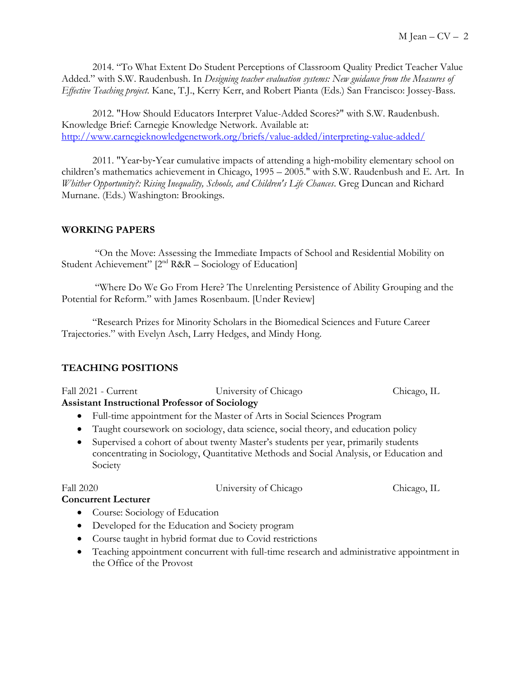2014. "To What Extent Do Student Perceptions of Classroom Quality Predict Teacher Value Added." with S.W. Raudenbush. In *Designing teacher evaluation systems: New guidance from the Measures of Effective Teaching project*. Kane, T.J., Kerry Kerr, and Robert Pianta (Eds.) San Francisco: Jossey-Bass.

2012. "How Should Educators Interpret Value-Added Scores?" with S.W. Raudenbush. Knowledge Brief: Carnegie Knowledge Network. Available at: <http://www.carnegieknowledgenetwork.org/briefs/value-added/interpreting-value-added/>

2011. "Year‐by‐Year cumulative impacts of attending a high‐mobility elementary school on children's mathematics achievement in Chicago, 1995 – 2005." with S.W. Raudenbush and E. Art. In *Whither Opportunity?: Rising Inequality, Schools, and Children's Life Chances*. Greg Duncan and Richard Murnane. (Eds.) Washington: Brookings.

## **WORKING PAPERS**

"On the Move: Assessing the Immediate Impacts of School and Residential Mobility on Student Achievement" [2<sup>nd</sup> R&R - Sociology of Education]

"Where Do We Go From Here? The Unrelenting Persistence of Ability Grouping and the Potential for Reform." with James Rosenbaum. [Under Review]

"Research Prizes for Minority Scholars in the Biomedical Sciences and Future Career Trajectories." with Evelyn Asch, Larry Hedges, and Mindy Hong.

## **TEACHING POSITIONS**

| Fall 2021 - Current                                   | University of Chicago                                                     | Chicago, IL |
|-------------------------------------------------------|---------------------------------------------------------------------------|-------------|
| <b>Assistant Instructional Professor of Sociology</b> |                                                                           |             |
|                                                       | • Full-time appointment for the Master of Arts in Social Sciences Program |             |

- Taught coursework on sociology, data science, social theory, and education policy
- Supervised a cohort of about twenty Master's students per year, primarily students concentrating in Sociology, Quantitative Methods and Social Analysis, or Education and Society

Fall 2020 University of Chicago Chicago, IL

## **Concurrent Lecturer** • Course: Sociology of Education

- Developed for the Education and Society program
- Course taught in hybrid format due to Covid restrictions
- Teaching appointment concurrent with full-time research and administrative appointment in the Office of the Provost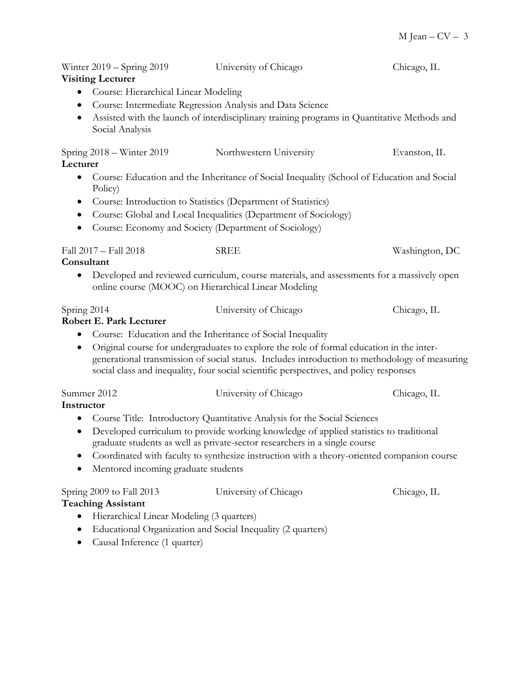| Winter 2019 – Spring 2019<br><b>Visiting Lecturer</b>                                              | University of Chicago                                                                                                                                                                                                                                                               | Chicago, IL    |
|----------------------------------------------------------------------------------------------------|-------------------------------------------------------------------------------------------------------------------------------------------------------------------------------------------------------------------------------------------------------------------------------------|----------------|
| Course: Hierarchical Linear Modeling<br>$\bullet$<br>$\bullet$                                     | Course: Intermediate Regression Analysis and Data Science<br>Assisted with the launch of interdisciplinary training programs in Quantitative Methods and                                                                                                                            |                |
| Social Analysis                                                                                    |                                                                                                                                                                                                                                                                                     |                |
| Spring 2018 – Winter 2019<br>Lecturer                                                              | Northwestern University                                                                                                                                                                                                                                                             | Evanston, IL   |
| Policy)                                                                                            | Course: Education and the Inheritance of Social Inequality (School of Education and Social                                                                                                                                                                                          |                |
|                                                                                                    | Course: Introduction to Statistics (Department of Statistics)                                                                                                                                                                                                                       |                |
|                                                                                                    | Course: Global and Local Inequalities (Department of Sociology)                                                                                                                                                                                                                     |                |
|                                                                                                    | Course: Economy and Society (Department of Sociology)                                                                                                                                                                                                                               |                |
| Fall 2017 - Fall 2018<br>Consultant                                                                | <b>SREE</b>                                                                                                                                                                                                                                                                         | Washington, DC |
| $\bullet$                                                                                          | Developed and reviewed curriculum, course materials, and assessments for a massively open<br>online course (MOOC) on Hierarchical Linear Modeling                                                                                                                                   |                |
| Spring 2014<br><b>Robert E. Park Lecturer</b>                                                      | University of Chicago                                                                                                                                                                                                                                                               | Chicago, IL    |
|                                                                                                    | Course: Education and the Inheritance of Social Inequality                                                                                                                                                                                                                          |                |
| $\bullet$                                                                                          | Original course for undergraduates to explore the role of formal education in the inter-<br>generational transmission of social status. Includes introduction to methodology of measuring<br>social class and inequality, four social scientific perspectives, and policy responses |                |
| Summer 2012                                                                                        | University of Chicago                                                                                                                                                                                                                                                               | Chicago, IL    |
| Instructor                                                                                         | Course Title: Introductory Quantitative Analysis for the Social Sciences                                                                                                                                                                                                            |                |
| $\bullet$                                                                                          | Developed curriculum to provide working knowledge of applied statistics to traditional<br>graduate students as well as private-sector researchers in a single course<br>Coordinated with faculty to synthesize instruction with a theory-oriented companion course                  |                |
| Mentored incoming graduate students                                                                |                                                                                                                                                                                                                                                                                     |                |
| Spring 2009 to Fall 2013<br><b>Teaching Assistant</b><br>Hierarchical Linear Modeling (3 quarters) | University of Chicago                                                                                                                                                                                                                                                               | Chicago, IL    |
|                                                                                                    | $Equartional$ $Ounconization and Squart Equart$                                                                                                                                                                                                                                     |                |

 Educational Organization and Social Inequality (2 quarters) Causal Inference (1 quarter)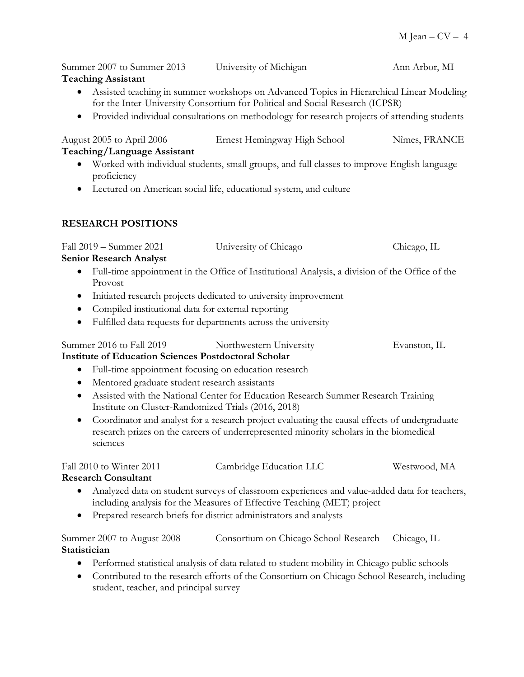Summer 2007 to Summer 2013 University of Michigan Ann Arbor, MI **Teaching Assistant** 

- Assisted teaching in summer workshops on Advanced Topics in Hierarchical Linear Modeling for the Inter-University Consortium for Political and Social Research (ICPSR)
- Provided individual consultations on methodology for research projects of attending students

August 2005 to April 2006 Ernest Hemingway High School Nîmes, FRANCE

- **Teaching/Language Assistant**
	- Worked with individual students, small groups, and full classes to improve English language proficiency
	- Lectured on American social life, educational system, and culture

## **RESEARCH POSITIONS**

| Fall 2019 – Summer 2021 | University of Chicago | Chicago, IL |
|-------------------------|-----------------------|-------------|
|                         |                       |             |

## **Senior Research Analyst**

- Full-time appointment in the Office of Institutional Analysis, a division of the Office of the Provost
- Initiated research projects dedicated to university improvement
- Compiled institutional data for external reporting
- Fulfilled data requests for departments across the university

## Summer 2016 to Fall 2019 Northwestern University Evanston, IL

## **Institute of Education Sciences Postdoctoral Scholar**

- Full-time appointment focusing on education research
- Mentored graduate student research assistants
- Assisted with the National Center for Education Research Summer Research Training Institute on Cluster-Randomized Trials (2016, 2018)
- Coordinator and analyst for a research project evaluating the causal effects of undergraduate research prizes on the careers of underrepresented minority scholars in the biomedical sciences

| Fall 2010 to Winter 2011 | Cambridge Education LLC | Westwood, MA |
|--------------------------|-------------------------|--------------|
|--------------------------|-------------------------|--------------|

## **Research Consultant**

- Analyzed data on student surveys of classroom experiences and value-added data for teachers, including analysis for the Measures of Effective Teaching (MET) project
- Prepared research briefs for district administrators and analysts

Summer 2007 to August 2008 Consortium on Chicago School Research Chicago, IL **Statistician** 

- Performed statistical analysis of data related to student mobility in Chicago public schools
- Contributed to the research efforts of the Consortium on Chicago School Research, including student, teacher, and principal survey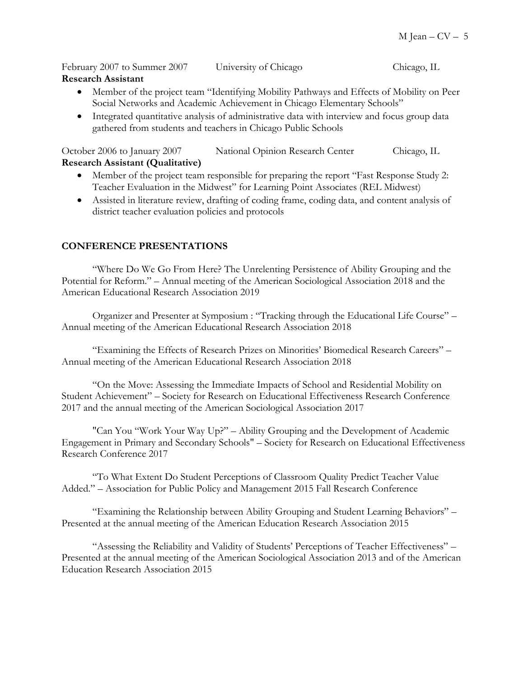February 2007 to Summer 2007 University of Chicago Chicago, IL **Research Assistant** 

- Member of the project team "Identifying Mobility Pathways and Effects of Mobility on Peer Social Networks and Academic Achievement in Chicago Elementary Schools"
- Integrated quantitative analysis of administrative data with interview and focus group data gathered from students and teachers in Chicago Public Schools

October 2006 to January 2007 National Opinion Research Center Chicago, IL **Research Assistant (Qualitative)**

- Member of the project team responsible for preparing the report "Fast Response Study 2: Teacher Evaluation in the Midwest" for Learning Point Associates (REL Midwest)
- Assisted in literature review, drafting of coding frame, coding data, and content analysis of district teacher evaluation policies and protocols

#### **CONFERENCE PRESENTATIONS**

"Where Do We Go From Here? The Unrelenting Persistence of Ability Grouping and the Potential for Reform." – Annual meeting of the American Sociological Association 2018 and the American Educational Research Association 2019

Organizer and Presenter at Symposium : "Tracking through the Educational Life Course" – Annual meeting of the American Educational Research Association 2018

"Examining the Effects of Research Prizes on Minorities' Biomedical Research Careers" – Annual meeting of the American Educational Research Association 2018

"On the Move: Assessing the Immediate Impacts of School and Residential Mobility on Student Achievement" – Society for Research on Educational Effectiveness Research Conference 2017 and the annual meeting of the American Sociological Association 2017

"Can You "Work Your Way Up?" – Ability Grouping and the Development of Academic Engagement in Primary and Secondary Schools" – Society for Research on Educational Effectiveness Research Conference 2017

"To What Extent Do Student Perceptions of Classroom Quality Predict Teacher Value Added." – Association for Public Policy and Management 2015 Fall Research Conference

"Examining the Relationship between Ability Grouping and Student Learning Behaviors" – Presented at the annual meeting of the American Education Research Association 2015

"Assessing the Reliability and Validity of Students' Perceptions of Teacher Effectiveness" – Presented at the annual meeting of the American Sociological Association 2013 and of the American Education Research Association 2015